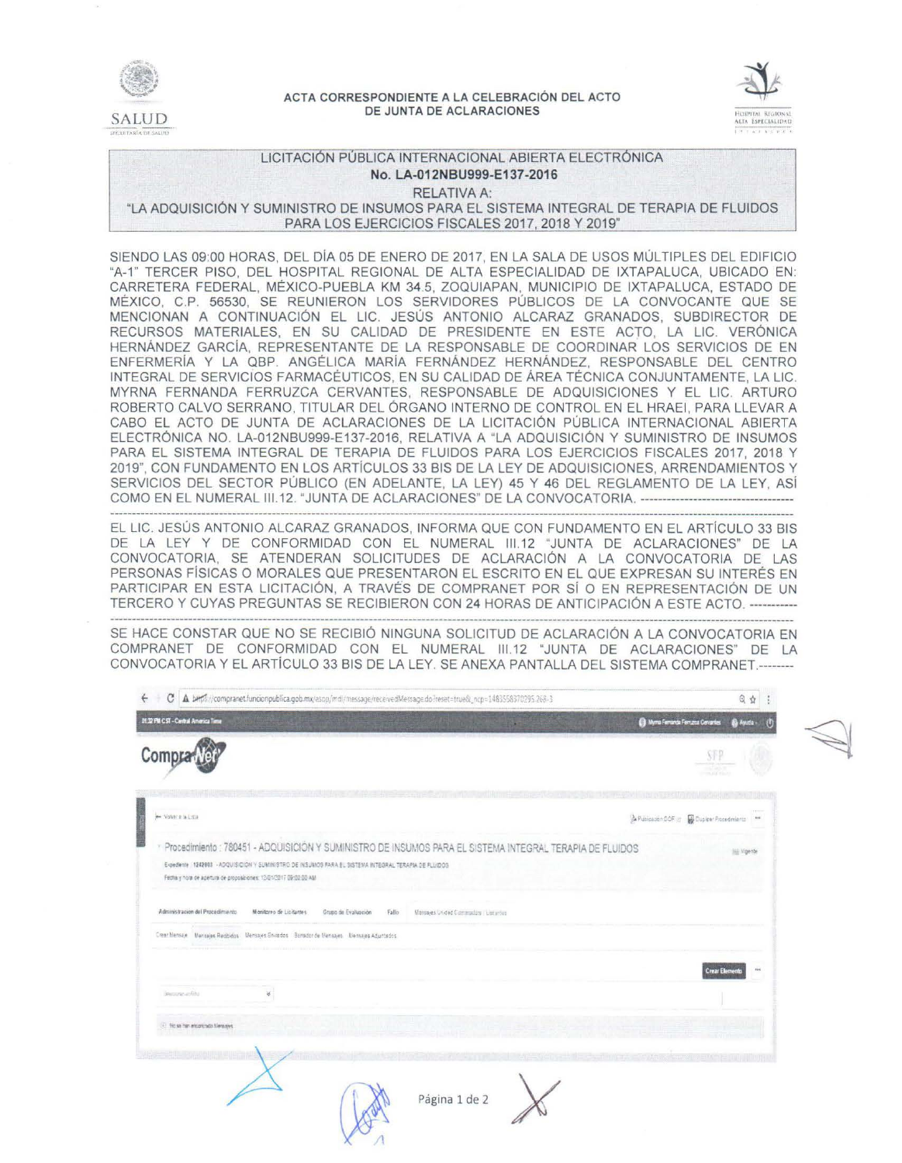

### ACTA CORRESPONDIENTE A LA CELEBRACIÓN DEL ACTO DE JUNTA DE ACLARACIONES



# LICITACIÓN PUBLICA INTERNACIONAL ABIERTA ELECTRÓNICA No. LA-012NBU999-E137-2016

RELATIVA A:

"LA ADQUISICIÓN Y SUMINISTRO DE INSUMOS PARA EL SISTEMA INTEGRAL DE TERAPIA DE FLUIDOS PARA LOS EJERCICIOS FISCALES 2017 2018 Y 2019"

SIENDO LAS 09:00 HORAS, DEL DÍA 05 DE ENERO DE 2017, EN LA SALA DE USOS MÚLTIPLES DEL EDIFICIO "A-1" TERCER PISO, DEL HOSPITAL REGIONAL DE ALTA ESPECIALIDAD DE IXTAPALUCA, UBICADO EN: CARRETERA FEDERAL, MÉXICO-PUEBLA KM 34.5, ZOQUIAPAN, MUNICIPIO DE IXTAPALUCA, ESTADO DE MÉXICO, C.P. 56530, SE REUNIERON LOS SERVIDORES PÚBLICOS DE LA CONVOCANTE QUE SE MENCIONAN A CONTINUACIÓN EL LIC. JESÚS ANTONIO ALCARAZ GRANADOS, SUBDIRECTOR DE RECURSOS MATERIALES, EN SU CALIDAD DE PRESIDENTE EN ESTE ACTO, LA LIC. VERÓNICA HERNÁNDEZ GARCÍA, REPRESENTANTE DE LA RESPONSABLE DE COORDINAR LOS SERVICIOS DE EN ENFERMERÍA Y LA QBP. ANGÉLICA MARÍA FERNÁNDEZ HERNÁNDEZ, RESPONSABLE DEL CENTRO INTEGRAL DE SERVICIOS FARMACÉUTICOS, EN SU CALIDAD DE ÁREA TÉCNICA CONJUNTAMENTE, LA LIC. MYRNA FERNANDA FERRUZCA CERVANTES, RESPONSABLE DE ADQUISICIONES Y EL LIC. ARTURO ROBERTO CALVO SERRANO, TITULAR DEL ÓRGANO INTERNO DE CONTROL EN EL HRAEI, PARA LLEVAR A CABO EL ACTO DE JUNTA DE ACLARACIONES DE LA LICITACIÓN PÚBLICA INTERNACIONAL ABIERTA ELECTRÓNICA NO. LA-012NBU999-E137-2016, RELATIVA A "LA ADQUISICIÓN Y SUMINISTRO DE INSUMOS PARA EL SISTEMA INTEGRAL DE TERAPIA DE FLUIDOS PARA LOS EJERCICIOS FISCALES 2017, 2018 Y 2019", CON FUNDAMENTO EN LOS ARTÍCULOS 33 BIS DE LA LEY DE ADQUISICIONES, ARRENDAMIENTOS Y SERVICIOS DEL SECTOR PÚBLICO (EN ADELANTE, LA LEY) 45 Y 46 DEL REGLAMENTO DE LA LEY, ASÍ COMO EN EL NUMERAL III.12. "JUNTA DE ACLARACIONES" DE LA CONVOCATORIA. -------------------------

EL LIC. JESÚS ANTONIO ALCARAZ GRANADOS, INFORMA QUE CON FUNDAMENTO EN EL ARTICULO 33 BIS DE LA LEY Y DE CONFORMIDAD CON EL NUMERAL 111.12 "JUNTA DE ACLARACIONES" DE LA CONVOCATORIA, SE ATENDERAN SOLICITUDES DE ACLARACIÓN A LA CONVOCATORIA DE LAS PERSONAS FÍSICAS O MORALES QUE PRESENTARON EL ESCRITO EN EL QUE EXPRESAN SU INTERÉS EN PARTICIPAR EN ESTA LICITACIÓN, A TRAVÉS DE COMPRANET POR SÍ O EN REPRESENTACIÓN DE UN TERCERO Y CUYAS PREGUNTAS SE RECIBIERON CON 24 HORAS DE ANTICIPACIÓN A ESTE ACTO. -----------

SE HACE CONSTAR QUE NO SE RECIBIÓ NINGUNA SOLICITUD DE ACLARACIÓN A LA CONVOCATORIA EN COMPRANET DE CONFORMIDAD CON EL NUMERAL 111.12 "JUNTA DE ACLARACIONES" DE LA CONVOCATORIA Y EL ARTÍCULO 33 BIS DE LA LEY. SE ANEXA PANTALLA DEL SISTEMA COMPRANET.--------

| C A berfs //compranet.funcionpublica.gob.mx/esop/mdl/message/receivedMessage.do?reset=true&_ncp=1483558370295.268-3                                                                                                                                                                   |                                     | Q<br>☆                                                             |
|---------------------------------------------------------------------------------------------------------------------------------------------------------------------------------------------------------------------------------------------------------------------------------------|-------------------------------------|--------------------------------------------------------------------|
| 01.32 PM CST - Central America Time                                                                                                                                                                                                                                                   |                                     | <sup>2</sup> Myrra Ferranda Fernatai Centriles<br><b>Ba Ayutla</b> |
| Compra                                                                                                                                                                                                                                                                                |                                     | SFP<br>mata mis                                                    |
| W Voyer # & Lista                                                                                                                                                                                                                                                                     |                                     | A Publicable DOF of W Duplex Procedmients<br>$: 4 + 4$             |
| Procedimiento : 780451 - ADQUISICIÓN Y SUMINISTRO DE INSUMOS PARA EL SISTEMA INTEGRAL TERAPIA DE FLUIDOS<br>Expediente 1242803 - ADQUISICION Y SUMINISTRO DE INSUMOS FARA EL SISTEMA INTEGRAL TERAPIA DE FLUIDOS<br>Fecha y hora de apertura de proposiciones: 12/01/2017 09:00:00 AM |                                     | <b>Big Migente</b>                                                 |
| Administracion del Procedimiento<br>Monitoreo de Licitantes<br>Grupo de Evaluación<br>Fallo<br>Crear Mensey Mensejes Reabidos Mensajes Envados Barrador de Nensajes Mensajes Aduntados                                                                                                | Mansages Unided Communion Listantes |                                                                    |
| Securization<br>×                                                                                                                                                                                                                                                                     |                                     | 684<br><b>Crear Elen</b>                                           |
| (i) No se han encontracts Mensajes                                                                                                                                                                                                                                                    |                                     |                                                                    |
|                                                                                                                                                                                                                                                                                       | Página 1 de 2                       |                                                                    |